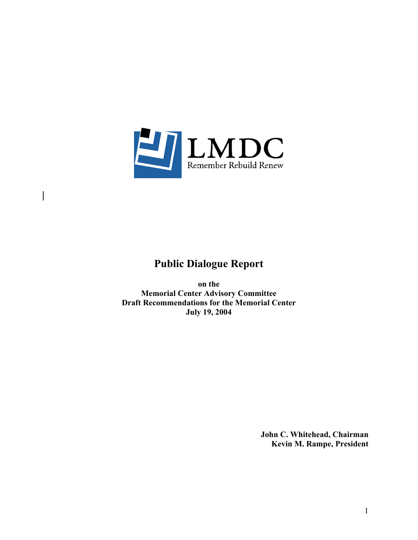

 $\overline{\phantom{a}}$ 

# **Public Dialogue Report**

**on the Memorial Center Advisory Committee Draft Recommendations for the Memorial Center July 19, 2004** 

> **John C. Whitehead, Chairman Kevin M. Rampe, President**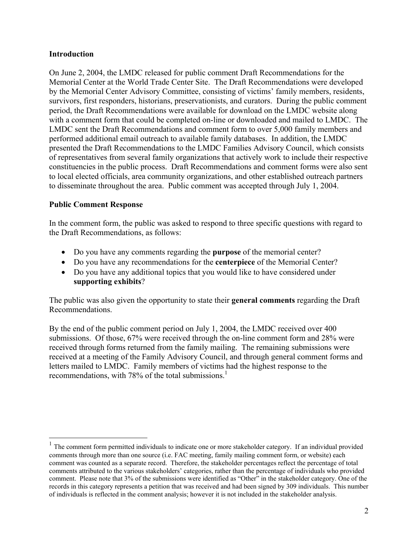## **Introduction**

On June 2, 2004, the LMDC released for public comment Draft Recommendations for the Memorial Center at the World Trade Center Site. The Draft Recommendations were developed by the Memorial Center Advisory Committee, consisting of victims' family members, residents, survivors, first responders, historians, preservationists, and curators. During the public comment period, the Draft Recommendations were available for download on the LMDC website along with a comment form that could be completed on-line or downloaded and mailed to LMDC. The LMDC sent the Draft Recommendations and comment form to over 5,000 family members and performed additional email outreach to available family databases. In addition, the LMDC presented the Draft Recommendations to the LMDC Families Advisory Council, which consists of representatives from several family organizations that actively work to include their respective constituencies in the public process. Draft Recommendations and comment forms were also sent to local elected officials, area community organizations, and other established outreach partners to disseminate throughout the area. Public comment was accepted through July 1, 2004.

### **Public Comment Response**

 $\overline{a}$ 

In the comment form, the public was asked to respond to three specific questions with regard to the Draft Recommendations, as follows:

- Do you have any comments regarding the **purpose** of the memorial center?
- Do you have any recommendations for the **centerpiece** of the Memorial Center?
- Do you have any additional topics that you would like to have considered under **supporting exhibits**?

The public was also given the opportunity to state their **general comments** regarding the Draft Recommendations.

By the end of the public comment period on July 1, 2004, the LMDC received over 400 submissions. Of those, 67% were received through the on-line comment form and 28% were received through forms returned from the family mailing. The remaining submissions were received at a meeting of the Family Advisory Council, and through general comment forms and letters mailed to LMDC. Family members of victims had the highest response to the recommendations, with 78% of the total submissions.<sup>1</sup>

<sup>&</sup>lt;sup>1</sup> The comment form permitted individuals to indicate one or more stakeholder category. If an individual provided comments through more than one source (i.e. FAC meeting, family mailing comment form, or website) each comment was counted as a separate record. Therefore, the stakeholder percentages reflect the percentage of total comments attributed to the various stakeholders' categories, rather than the percentage of individuals who provided comment. Please note that 3% of the submissions were identified as "Other" in the stakeholder category. One of the records in this category represents a petition that was received and had been signed by 309 individuals. This number of individuals is reflected in the comment analysis; however it is not included in the stakeholder analysis.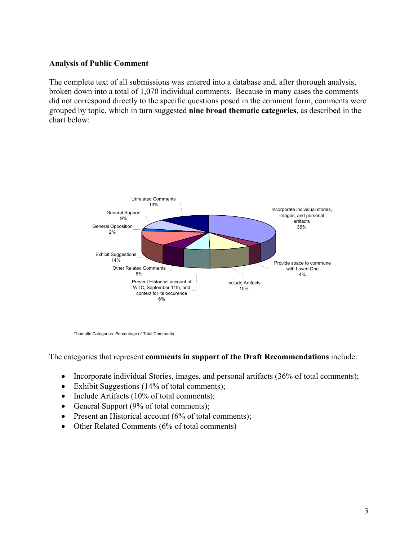### **Analysis of Public Comment**

The complete text of all submissions was entered into a database and, after thorough analysis, broken down into a total of 1,070 individual comments. Because in many cases the comments did not correspond directly to the specific questions posed in the comment form, comments were grouped by topic, which in turn suggested **nine broad thematic categories**, as described in the chart below:



Thematic Categories: Percentage of Total Comments

The categories that represent **comments in support of the Draft Recommendations** include:

- Incorporate individual Stories, images, and personal artifacts (36% of total comments);
- Exhibit Suggestions (14% of total comments);
- Include Artifacts (10% of total comments);
- General Support (9% of total comments);
- Present an Historical account (6% of total comments);
- Other Related Comments (6% of total comments)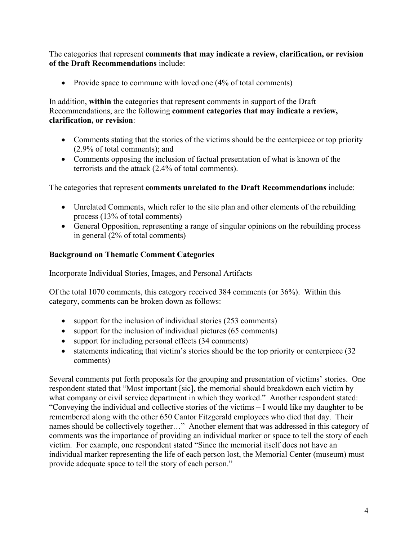The categories that represent **comments that may indicate a review, clarification, or revision of the Draft Recommendations** include:

• Provide space to commune with loved one (4% of total comments)

In addition, **within** the categories that represent comments in support of the Draft Recommendations, are the following **comment categories that may indicate a review, clarification, or revision**:

- Comments stating that the stories of the victims should be the centerpiece or top priority (2.9% of total comments); and
- Comments opposing the inclusion of factual presentation of what is known of the terrorists and the attack (2.4% of total comments).

The categories that represent **comments unrelated to the Draft Recommendations** include:

- Unrelated Comments, which refer to the site plan and other elements of the rebuilding process (13% of total comments)
- General Opposition, representing a range of singular opinions on the rebuilding process in general (2% of total comments)

## **Background on Thematic Comment Categories**

## Incorporate Individual Stories, Images, and Personal Artifacts

Of the total 1070 comments, this category received 384 comments (or 36%). Within this category, comments can be broken down as follows:

- support for the inclusion of individual stories (253 comments)
- support for the inclusion of individual pictures (65 comments)
- support for including personal effects (34 comments)
- statements indicating that victim's stories should be the top priority or centerpiece (32) comments)

Several comments put forth proposals for the grouping and presentation of victims' stories. One respondent stated that "Most important [sic], the memorial should breakdown each victim by what company or civil service department in which they worked." Another respondent stated: "Conveying the individual and collective stories of the victims – I would like my daughter to be remembered along with the other 650 Cantor Fitzgerald employees who died that day. Their names should be collectively together…" Another element that was addressed in this category of comments was the importance of providing an individual marker or space to tell the story of each victim. For example, one respondent stated "Since the memorial itself does not have an individual marker representing the life of each person lost, the Memorial Center (museum) must provide adequate space to tell the story of each person."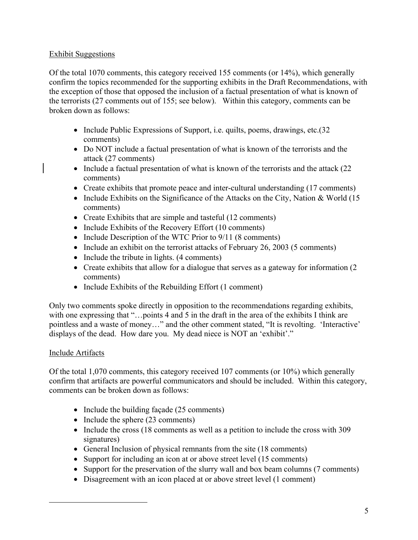## Exhibit Suggestions

Of the total 1070 comments, this category received 155 comments (or 14%), which generally confirm the topics recommended for the supporting exhibits in the Draft Recommendations, with the exception of those that opposed the inclusion of a factual presentation of what is known of the terrorists (27 comments out of 155; see below). Within this category, comments can be broken down as follows:

- Include Public Expressions of Support, i.e. quilts, poems, drawings, etc. (32) comments)
- Do NOT include a factual presentation of what is known of the terrorists and the attack (27 comments)
- Include a factual presentation of what is known of the terrorists and the attack (22) comments)
- Create exhibits that promote peace and inter-cultural understanding (17 comments)
- Include Exhibits on the Significance of the Attacks on the City, Nation & World (15) comments)
- Create Exhibits that are simple and tasteful (12 comments)
- Include Exhibits of the Recovery Effort (10 comments)
- Include Description of the WTC Prior to 9/11 (8 comments)
- Include an exhibit on the terrorist attacks of February 26, 2003 (5 comments)
- Include the tribute in lights. (4 comments)
- Create exhibits that allow for a dialogue that serves as a gateway for information (2) comments)
- Include Exhibits of the Rebuilding Effort (1 comment)

Only two comments spoke directly in opposition to the recommendations regarding exhibits, with one expressing that "...points 4 and 5 in the draft in the area of the exhibits I think are pointless and a waste of money…" and the other comment stated, "It is revolting. 'Interactive' displays of the dead. How dare you. My dead niece is NOT an 'exhibit'."

## Include Artifacts

 $\overline{a}$ 

Of the total 1,070 comments, this category received 107 comments (or 10%) which generally confirm that artifacts are powerful communicators and should be included. Within this category, comments can be broken down as follows:

- Include the building facade (25 comments)
- Include the sphere (23 comments)
- Include the cross (18 comments as well as a petition to include the cross with 309 signatures)
- General Inclusion of physical remnants from the site (18 comments)
- Support for including an icon at or above street level (15 comments)
- Support for the preservation of the slurry wall and box beam columns (7 comments)
- Disagreement with an icon placed at or above street level (1 comment)